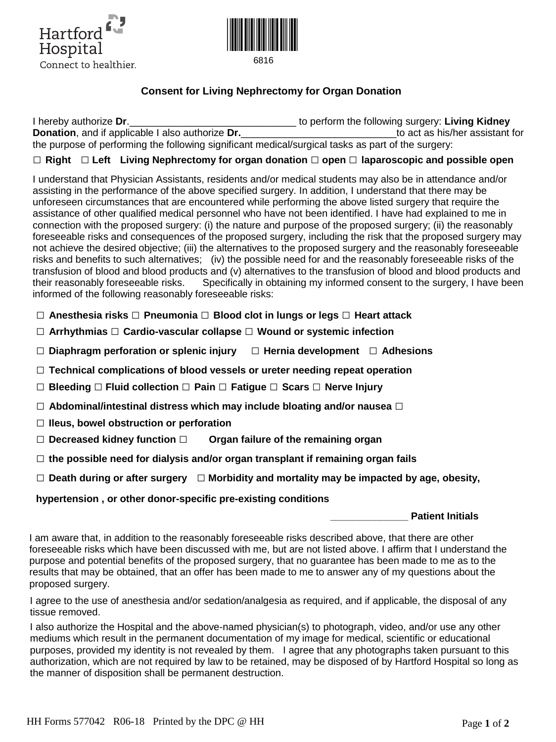



## **Consent for Living Nephrectomy for Organ Donation**

I hereby authorize **Dr**.\_\_\_\_\_\_\_\_\_\_\_\_\_\_\_\_\_\_\_\_\_\_\_\_\_\_\_\_\_\_ to perform the following surgery: **Living Kidney Donation**, and if applicable I also authorize **Dr. Example 20** is to act as his/her assistant for the purpose of performing the following significant medical/surgical tasks as part of the surgery:

## **□ Right □ Left Living Nephrectomy for organ donation □ open □ laparoscopic and possible open**

I understand that Physician Assistants, residents and/or medical students may also be in attendance and/or assisting in the performance of the above specified surgery. In addition, I understand that there may be unforeseen circumstances that are encountered while performing the above listed surgery that require the assistance of other qualified medical personnel who have not been identified. I have had explained to me in connection with the proposed surgery: (i) the nature and purpose of the proposed surgery; (ii) the reasonably foreseeable risks and consequences of the proposed surgery, including the risk that the proposed surgery may not achieve the desired objective; (iii) the alternatives to the proposed surgery and the reasonably foreseeable risks and benefits to such alternatives; (iv) the possible need for and the reasonably foreseeable risks of the transfusion of blood and blood products and (v) alternatives to the transfusion of blood and blood products and their reasonably foreseeable risks. Specifically in obtaining my informed consent to the surgery, I have been informed of the following reasonably foreseeable risks:

- **□ Anesthesia risks □ Pneumonia □ Blood clot in lungs or legs □ Heart attack**
- **□ Arrhythmias □ Cardio-vascular collapse □ Wound or systemic infection**
- **□ Diaphragm perforation or splenic injury □ Hernia development □ Adhesions**
- **□ Technical complications of blood vessels or ureter needing repeat operation**
- **□ Bleeding □ Fluid collection □ Pain □ Fatigue □ Scars □ Nerve Injury**
- **□ Abdominal/intestinal distress which may include bloating and/or nausea □**
- **□ Ileus, bowel obstruction or perforation**
- **□ Decreased kidney function □ Organ failure of the remaining organ**
- **□ the possible need for dialysis and/or organ transplant if remaining organ fails**
- **□ Death during or after surgery □ Morbidity and mortality may be impacted by age, obesity,**

## **hypertension , or other donor-specific pre-existing conditions**

**\_\_\_\_\_\_\_\_\_\_\_\_\_\_ Patient Initials**

I am aware that, in addition to the reasonably foreseeable risks described above, that there are other foreseeable risks which have been discussed with me, but are not listed above. I affirm that I understand the purpose and potential benefits of the proposed surgery, that no guarantee has been made to me as to the *Patient Initials* **( )**  results that may be obtained, that an offer has been made to me to answer any of my questions about the proposed surgery.

I agree to the use of anesthesia and/or sedation/analgesia as required, and if applicable, the disposal of any tissue removed.

I also authorize the Hospital and the above-named physician(s) to photograph, video, and/or use any other mediums which result in the permanent documentation of my image for medical, scientific or educational purposes, provided my identity is not revealed by them. I agree that any photographs taken pursuant to this authorization, which are not required by law to be retained, may be disposed of by Hartford Hospital so long as the manner of disposition shall be permanent destruction.